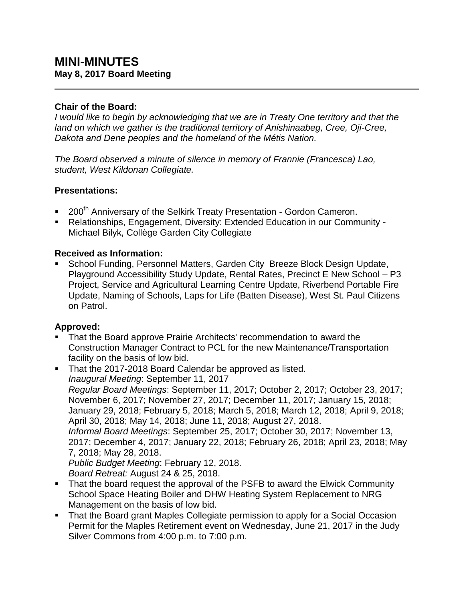#### **Chair of the Board:**

*I would like to begin by acknowledging that we are in Treaty One territory and that the land on which we gather is the traditional territory of Anishinaabeg, Cree, Oji-Cree, Dakota and Dene peoples and the homeland of the Métis Nation.*

*The Board observed a minute of silence in memory of Frannie (Francesca) Lao, student, West Kildonan Collegiate.*

### **Presentations:**

- 200<sup>th</sup> Anniversary of the Selkirk Treaty Presentation Gordon Cameron.
- Relationships, Engagement, Diversity: Extended Education in our Community Michael Bilyk, Collège Garden City Collegiate

### **Received as Information:**

 School Funding, Personnel Matters, Garden City Breeze Block Design Update, Playground Accessibility Study Update, Rental Rates, Precinct E New School – P3 Project, Service and Agricultural Learning Centre Update, Riverbend Portable Fire Update, Naming of Schools, Laps for Life (Batten Disease), West St. Paul Citizens on Patrol.

#### **Approved:**

- **That the Board approve Prairie Architects' recommendation to award the** Construction Manager Contract to PCL for the new Maintenance/Transportation facility on the basis of low bid.
- That the 2017-2018 Board Calendar be approved as listed. *Inaugural Meeting*: September 11, 2017 *Regular Board Meetings*: September 11, 2017; October 2, 2017; October 23, 2017; November 6, 2017; November 27, 2017; December 11, 2017; January 15, 2018; January 29, 2018; February 5, 2018; March 5, 2018; March 12, 2018; April 9, 2018; April 30, 2018; May 14, 2018; June 11, 2018; August 27, 2018. *Informal Board Meetings*: September 25, 2017; October 30, 2017; November 13, 2017; December 4, 2017; January 22, 2018; February 26, 2018; April 23, 2018; May 7, 2018; May 28, 2018. *Public Budget Meeting*: February 12, 2018. *Board Retreat:* August 24 & 25, 2018.
- That the board request the approval of the PSFB to award the Elwick Community School Space Heating Boiler and DHW Heating System Replacement to NRG Management on the basis of low bid.
- That the Board grant Maples Collegiate permission to apply for a Social Occasion Permit for the Maples Retirement event on Wednesday, June 21, 2017 in the Judy Silver Commons from 4:00 p.m. to 7:00 p.m.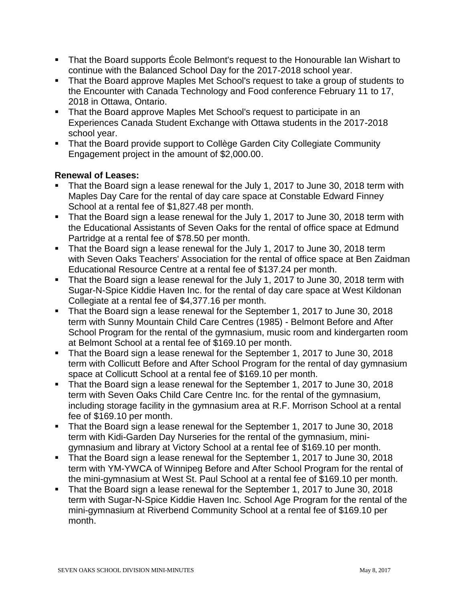- That the Board supports École Belmont's request to the Honourable Ian Wishart to continue with the Balanced School Day for the 2017-2018 school year.
- That the Board approve Maples Met School's request to take a group of students to the Encounter with Canada Technology and Food conference February 11 to 17, 2018 in Ottawa, Ontario.
- That the Board approve Maples Met School's request to participate in an Experiences Canada Student Exchange with Ottawa students in the 2017-2018 school year.
- That the Board provide support to Collège Garden City Collegiate Community Engagement project in the amount of \$2,000.00.

### **Renewal of Leases:**

- That the Board sign a lease renewal for the July 1, 2017 to June 30, 2018 term with Maples Day Care for the rental of day care space at Constable Edward Finney School at a rental fee of \$1,827.48 per month.
- That the Board sign a lease renewal for the July 1, 2017 to June 30, 2018 term with the Educational Assistants of Seven Oaks for the rental of office space at Edmund Partridge at a rental fee of \$78.50 per month.
- That the Board sign a lease renewal for the July 1, 2017 to June 30, 2018 term with Seven Oaks Teachers' Association for the rental of office space at Ben Zaidman Educational Resource Centre at a rental fee of \$137.24 per month.
- That the Board sign a lease renewal for the July 1, 2017 to June 30, 2018 term with Sugar-N-Spice Kiddie Haven Inc. for the rental of day care space at West Kildonan Collegiate at a rental fee of \$4,377.16 per month.
- That the Board sign a lease renewal for the September 1, 2017 to June 30, 2018 term with Sunny Mountain Child Care Centres (1985) - Belmont Before and After School Program for the rental of the gymnasium, music room and kindergarten room at Belmont School at a rental fee of \$169.10 per month.
- That the Board sign a lease renewal for the September 1, 2017 to June 30, 2018 term with Collicutt Before and After School Program for the rental of day gymnasium space at Collicutt School at a rental fee of \$169.10 per month.
- That the Board sign a lease renewal for the September 1, 2017 to June 30, 2018 term with Seven Oaks Child Care Centre Inc. for the rental of the gymnasium, including storage facility in the gymnasium area at R.F. Morrison School at a rental fee of \$169.10 per month.
- That the Board sign a lease renewal for the September 1, 2017 to June 30, 2018 term with Kidi-Garden Day Nurseries for the rental of the gymnasium, minigymnasium and library at Victory School at a rental fee of \$169.10 per month.
- That the Board sign a lease renewal for the September 1, 2017 to June 30, 2018 term with YM-YWCA of Winnipeg Before and After School Program for the rental of the mini-gymnasium at West St. Paul School at a rental fee of \$169.10 per month.
- That the Board sign a lease renewal for the September 1, 2017 to June 30, 2018 term with Sugar-N-Spice Kiddie Haven Inc. School Age Program for the rental of the mini-gymnasium at Riverbend Community School at a rental fee of \$169.10 per month.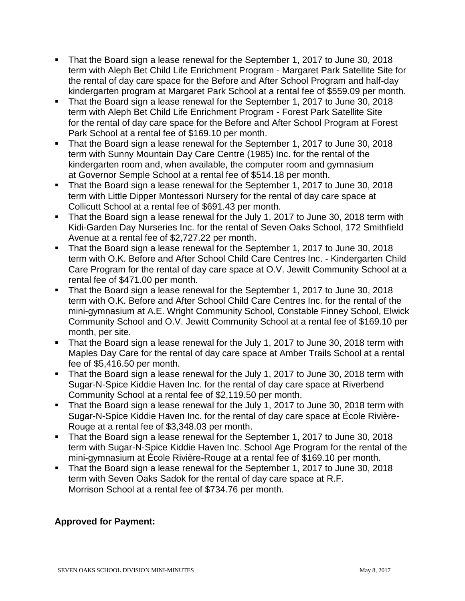- That the Board sign a lease renewal for the September 1, 2017 to June 30, 2018 term with Aleph Bet Child Life Enrichment Program - Margaret Park Satellite Site for the rental of day care space for the Before and After School Program and half-day kindergarten program at Margaret Park School at a rental fee of \$559.09 per month.
- That the Board sign a lease renewal for the September 1, 2017 to June 30, 2018 term with Aleph Bet Child Life Enrichment Program - Forest Park Satellite Site for the rental of day care space for the Before and After School Program at Forest Park School at a rental fee of \$169.10 per month.
- That the Board sign a lease renewal for the September 1, 2017 to June 30, 2018 term with Sunny Mountain Day Care Centre (1985) Inc. for the rental of the kindergarten room and, when available, the computer room and gymnasium at Governor Semple School at a rental fee of \$514.18 per month.
- That the Board sign a lease renewal for the September 1, 2017 to June 30, 2018 term with Little Dipper Montessori Nursery for the rental of day care space at Collicutt School at a rental fee of \$691.43 per month.
- That the Board sign a lease renewal for the July 1, 2017 to June 30, 2018 term with Kidi-Garden Day Nurseries Inc. for the rental of Seven Oaks School, 172 Smithfield Avenue at a rental fee of \$2,727.22 per month.
- That the Board sign a lease renewal for the September 1, 2017 to June 30, 2018 term with O.K. Before and After School Child Care Centres Inc. - Kindergarten Child Care Program for the rental of day care space at O.V. Jewitt Community School at a rental fee of \$471.00 per month.
- That the Board sign a lease renewal for the September 1, 2017 to June 30, 2018 term with O.K. Before and After School Child Care Centres Inc. for the rental of the mini-gymnasium at A.E. Wright Community School, Constable Finney School, Elwick Community School and O.V. Jewitt Community School at a rental fee of \$169.10 per month, per site.
- That the Board sign a lease renewal for the July 1, 2017 to June 30, 2018 term with Maples Day Care for the rental of day care space at Amber Trails School at a rental fee of \$5,416.50 per month.
- That the Board sign a lease renewal for the July 1, 2017 to June 30, 2018 term with Sugar-N-Spice Kiddie Haven Inc. for the rental of day care space at Riverbend Community School at a rental fee of \$2,119.50 per month.
- That the Board sign a lease renewal for the July 1, 2017 to June 30, 2018 term with Sugar-N-Spice Kiddie Haven Inc. for the rental of day care space at École Rivière-Rouge at a rental fee of \$3,348.03 per month.
- That the Board sign a lease renewal for the September 1, 2017 to June 30, 2018 term with Sugar-N-Spice Kiddie Haven Inc. School Age Program for the rental of the mini-gymnasium at École Rivière-Rouge at a rental fee of \$169.10 per month.
- That the Board sign a lease renewal for the September 1, 2017 to June 30, 2018 term with Seven Oaks Sadok for the rental of day care space at R.F. Morrison School at a rental fee of \$734.76 per month.

# **Approved for Payment:**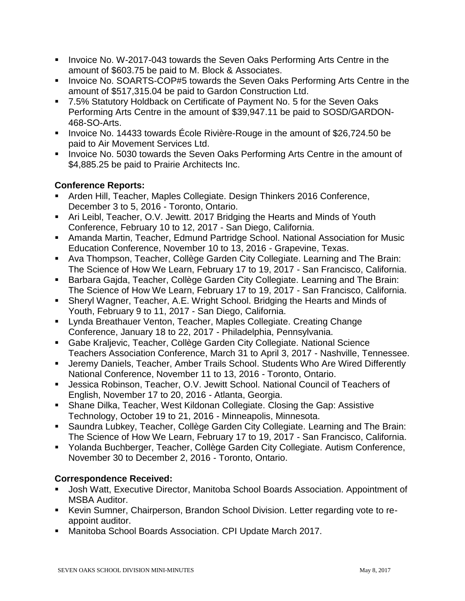- Invoice No. W-2017-043 towards the Seven Oaks Performing Arts Centre in the amount of \$603.75 be paid to M. Block & Associates.
- **Invoice No. SOARTS-COP#5 towards the Seven Oaks Performing Arts Centre in the** amount of \$517,315.04 be paid to Gardon Construction Ltd.
- 7.5% Statutory Holdback on Certificate of Payment No. 5 for the Seven Oaks Performing Arts Centre in the amount of \$39,947.11 be paid to SOSD/GARDON-468-SO-Arts.
- Invoice No. 14433 towards École Rivière-Rouge in the amount of \$26,724.50 be paid to Air Movement Services Ltd.
- **IDED** Invoice No. 5030 towards the Seven Oaks Performing Arts Centre in the amount of \$4,885.25 be paid to Prairie Architects Inc.

# **Conference Reports:**

- Arden Hill, Teacher, Maples Collegiate. Design Thinkers 2016 Conference, December 3 to 5, 2016 - Toronto, Ontario.
- Ari Leibl, Teacher, O.V. Jewitt. 2017 Bridging the Hearts and Minds of Youth Conference, February 10 to 12, 2017 - San Diego, California.
- Amanda Martin, Teacher, Edmund Partridge School. National Association for Music Education Conference, November 10 to 13, 2016 - Grapevine, Texas.
- Ava Thompson, Teacher, Collège Garden City Collegiate. Learning and The Brain: The Science of How We Learn, February 17 to 19, 2017 - San Francisco, California.
- **Barbara Gajda, Teacher, Collège Garden City Collegiate. Learning and The Brain:** The Science of How We Learn, February 17 to 19, 2017 - San Francisco, California.
- Sheryl Wagner, Teacher, A.E. Wright School. Bridging the Hearts and Minds of Youth, February 9 to 11, 2017 - San Diego, California.
- Lynda Breathauer Venton, Teacher, Maples Collegiate. Creating Change Conference, January 18 to 22, 2017 - Philadelphia, Pennsylvania.
- Gabe Kraljevic, Teacher, Collège Garden City Collegiate. National Science Teachers Association Conference, March 31 to April 3, 2017 - Nashville, Tennessee.
- Jeremy Daniels, Teacher, Amber Trails School. Students Who Are Wired Differently National Conference, November 11 to 13, 2016 - Toronto, Ontario.
- Jessica Robinson, Teacher, O.V. Jewitt School. National Council of Teachers of English, November 17 to 20, 2016 - Atlanta, Georgia.
- Shane Dilka, Teacher, West Kildonan Collegiate. Closing the Gap: Assistive Technology, October 19 to 21, 2016 - Minneapolis, Minnesota.
- Saundra Lubkey, Teacher, Collège Garden City Collegiate. Learning and The Brain: The Science of How We Learn, February 17 to 19, 2017 - San Francisco, California.
- Yolanda Buchberger, Teacher, Collège Garden City Collegiate. Autism Conference, November 30 to December 2, 2016 - Toronto, Ontario.

# **Correspondence Received:**

- Josh Watt, Executive Director, Manitoba School Boards Association. Appointment of MSBA Auditor.
- Kevin Sumner, Chairperson, Brandon School Division. Letter regarding vote to reappoint auditor.
- Manitoba School Boards Association. CPI Update March 2017.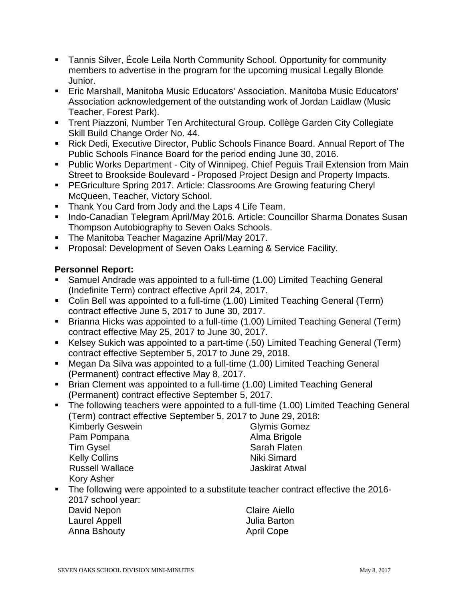- Tannis Silver, École Leila North Community School. Opportunity for community members to advertise in the program for the upcoming musical Legally Blonde Junior.
- Eric Marshall, Manitoba Music Educators' Association. Manitoba Music Educators' Association acknowledgement of the outstanding work of Jordan Laidlaw (Music Teacher, Forest Park).
- Trent Piazzoni, Number Ten Architectural Group. Collège Garden City Collegiate Skill Build Change Order No. 44.
- Rick Dedi, Executive Director, Public Schools Finance Board. Annual Report of The Public Schools Finance Board for the period ending June 30, 2016.
- Public Works Department City of Winnipeg. Chief Peguis Trail Extension from Main Street to Brookside Boulevard - Proposed Project Design and Property Impacts.
- **PEGriculture Spring 2017. Article: Classrooms Are Growing featuring Cheryl** McQueen, Teacher, Victory School.
- **Thank You Card from Jody and the Laps 4 Life Team.**
- **Indo-Canadian Telegram April/May 2016. Article: Councillor Sharma Donates Susan** Thompson Autobiography to Seven Oaks Schools.
- **The Manitoba Teacher Magazine April/May 2017.**
- **Proposal: Development of Seven Oaks Learning & Service Facility.**

# **Personnel Report:**

- Samuel Andrade was appointed to a full-time (1.00) Limited Teaching General (Indefinite Term) contract effective April 24, 2017.
- Colin Bell was appointed to a full-time (1.00) Limited Teaching General (Term) contract effective June 5, 2017 to June 30, 2017.
- Brianna Hicks was appointed to a full-time (1.00) Limited Teaching General (Term) contract effective May 25, 2017 to June 30, 2017.
- Kelsey Sukich was appointed to a part-time (.50) Limited Teaching General (Term) contract effective September 5, 2017 to June 29, 2018.
- Megan Da Silva was appointed to a full-time (1.00) Limited Teaching General (Permanent) contract effective May 8, 2017.
- Brian Clement was appointed to a full-time (1.00) Limited Teaching General (Permanent) contract effective September 5, 2017.
- The following teachers were appointed to a full-time (1.00) Limited Teaching General (Term) contract effective September 5, 2017 to June 29, 2018:

| <b>Kimberly Geswein</b> |  |
|-------------------------|--|
| Pam Pompana             |  |
| <b>Tim Gysel</b>        |  |
| <b>Kelly Collins</b>    |  |
| <b>Russell Wallace</b>  |  |
| Kory Asher              |  |

Glymis Gomez Alma Brigole Sarah Flaten Niki Simard Jaskirat Atwal

The following were appointed to a substitute teacher contract effective the 2016-2017 school year:

David Nepon **Claire Aiello** Laurel Appell **Automaker Contracts** Julia Barton Anna Bshouty **Anna Bshouty** April Cope